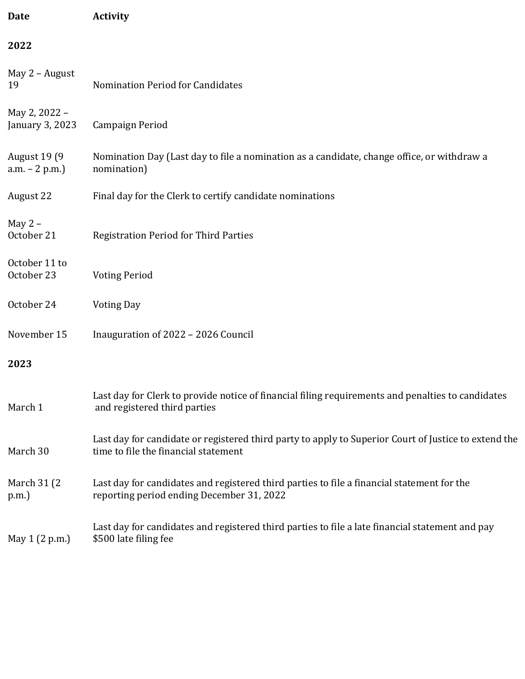| <b>Date</b>                             | <b>Activity</b>                                                                                                                              |
|-----------------------------------------|----------------------------------------------------------------------------------------------------------------------------------------------|
| 2022                                    |                                                                                                                                              |
| May 2 - August<br>19                    | Nomination Period for Candidates                                                                                                             |
| May 2, 2022 -<br>January 3, 2023        | Campaign Period                                                                                                                              |
| <b>August 19 (9)</b><br>$a.m. - 2 p.m.$ | Nomination Day (Last day to file a nomination as a candidate, change office, or withdraw a<br>nomination)                                    |
| August 22                               | Final day for the Clerk to certify candidate nominations                                                                                     |
| May $2 -$<br>October 21                 | <b>Registration Period for Third Parties</b>                                                                                                 |
| October 11 to<br>October 23             | <b>Voting Period</b>                                                                                                                         |
| October 24                              | <b>Voting Day</b>                                                                                                                            |
| November 15                             | Inauguration of 2022 - 2026 Council                                                                                                          |
| 2023                                    |                                                                                                                                              |
| March 1                                 | Last day for Clerk to provide notice of financial filing requirements and penalties to candidates<br>and registered third parties            |
| March 30                                | Last day for candidate or registered third party to apply to Superior Court of Justice to extend the<br>time to file the financial statement |
| March 31 (2)<br>p.m.)                   | Last day for candidates and registered third parties to file a financial statement for the<br>reporting period ending December 31, 2022      |
| May 1 (2 p.m.)                          | Last day for candidates and registered third parties to file a late financial statement and pay<br>\$500 late filing fee                     |